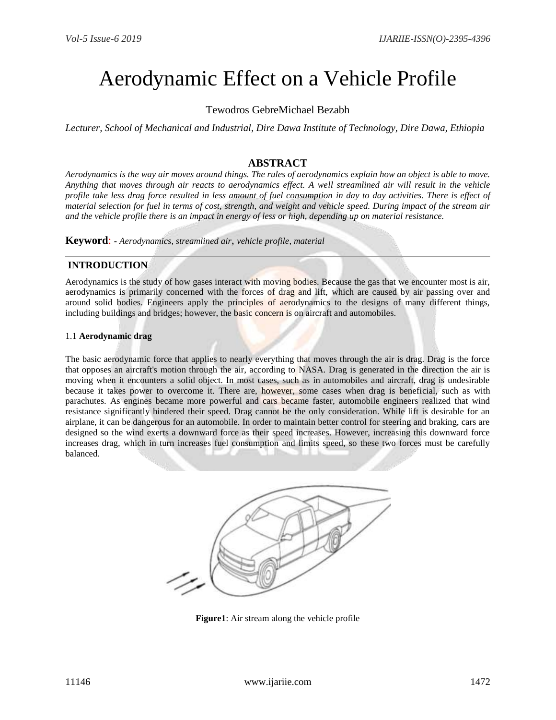# Aerodynamic Effect on a Vehicle Profile

# Tewodros GebreMichael Bezabh

*Lecturer, School of Mechanical and Industrial, Dire Dawa Institute of Technology, Dire Dawa, Ethiopia*

# **ABSTRACT**

*Aerodynamics is the way air moves around things. The rules of aerodynamics explain how an object is able to move. Anything that moves through air reacts to aerodynamics effect. A well streamlined air will result in the vehicle profile take less drag force resulted in less amount of fuel consumption in day to day activities. There is effect of material selection for fuel in terms of cost, strength, and weight and vehicle speed. During impact of the stream air and the vehicle profile there is an impact in energy of less or high, depending up on material resistance.*

**Keyword**: **-** *Aerodynamics, streamlined air*, *vehicle profile, material* 

## **INTRODUCTION**

Aerodynamics is the study of how gases interact with moving bodies. Because the gas that we encounter most is air, aerodynamics is primarily concerned with the forces of drag and lift, which are caused by air passing over and around solid bodies. Engineers apply the principles of aerodynamics to the designs of many different things, including buildings and bridges; however, the basic concern is on aircraft and automobiles.

#### 1.1 **Aerodynamic drag**

The basic aerodynamic force that applies to nearly everything that moves through the air is drag. Drag is the force that opposes an aircraft's motion through the air, according to [NASA.](http://www.grc.nasa.gov/WWW/k-12/airplane/drag1.html) Drag is generated in the direction the air is moving when it encounters a solid object. In most cases, such as in automobiles and aircraft, drag is undesirable because it takes power to overcome it. There are, however, some cases when drag is beneficial, such as with parachutes. As engines became more powerful and cars became faster, automobile engineers realized that wind resistance significantly hindered their speed. Drag cannot be the only consideration. While lift is desirable for an airplane, it can be dangerous for an automobile. In order to maintain better control for steering and braking, cars are designed so the wind exerts a downward force as their speed increases. However, increasing this downward force increases drag, which in turn increases fuel consumption and limits speed, so these two forces must be carefully balanced.



**Figure1**: Air stream along the vehicle profile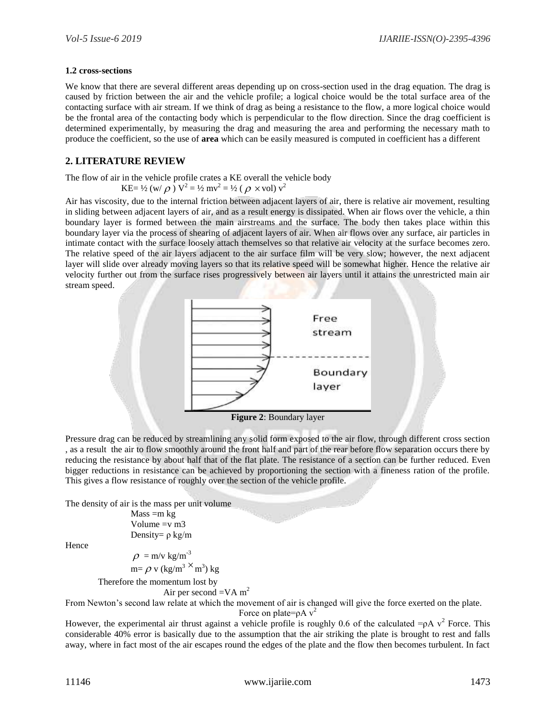#### **1.2 cross-sections**

We know that there are several different areas depending up on cross-section used in the [drag equation.](https://www.grc.nasa.gov/www/k-12/airplane/drageq.html) The drag is caused by friction between the air and the vehicle profile; a logical choice would be the total surface area of the contacting surface with air stream. If we think of drag as being a resistance to the flow, a more logical choice would be the frontal area of the contacting body which is perpendicular to the flow direction. Since the [drag coefficient](https://www.grc.nasa.gov/www/k-12/airplane/dragco.html) is determined experimentally, by [measuring](https://www.grc.nasa.gov/www/k-12/airplane/tuntest.html) the drag and measuring the area and performing the necessary math to produce the coefficient, so the use of **area** which can be easily measured is computed in coefficient has a different

## **2. LITERATURE REVIEW**

The flow of air in the vehicle profile crates a KE overall the vehicle body

$$
KE = \frac{1}{2} (w/\rho) V^2 = \frac{1}{2} mv^2 = \frac{1}{2} (\rho \times vol) v^2
$$

Air has viscosity, due to the internal friction between adjacent layers of air, there is relative air movement, resulting in sliding between adjacent layers of air, and as a result energy is dissipated. When air flows over the vehicle, a thin boundary layer is formed between the main airstreams and the surface. The body then takes place within this boundary layer via the process of shearing of adjacent layers of air. When air flows over any surface, air particles in intimate contact with the surface loosely attach themselves so that relative air velocity at the surface becomes zero. The relative speed of the air layers adjacent to the air surface film will be very slow; however, the next adjacent layer will slide over already moving layers so that its relative speed will be somewhat higher. Hence the relative air velocity further out from the surface rises progressively between air layers until it attains the unrestricted main air stream speed.



Pressure drag can be reduced by streamlining any solid form exposed to the air flow, through different cross section , as a result the air to flow smoothly around the front half and part of the rear before flow separation occurs there by reducing the resistance by about half that of the flat plate. The resistance of a section can be further reduced. Even bigger reductions in resistance can be achieved by proportioning the section with a fineness ration of the profile. This gives a flow resistance of roughly over the section of the vehicle profile.

The density of air is the mass per unit volume

 $Mass = m kg$ Volume  $=v$  m $3$ Density= ρ kg/m

Hence

 $\rho = m/v \text{ kg/m}^{-3}$  $m = \rho v (kg/m^3 \times m^3) kg$ 

Therefore the momentum lost by

Air per second  $=VA$  m<sup>2</sup>

From Newton's second law relate at which the movement of air is changed will give the force exerted on the plate.

Force on plate= $\rho A v^2$ 

However, the experimental air thrust against a vehicle profile is roughly 0.6 of the calculated = $\rho A v^2$  Force. This considerable 40% error is basically due to the assumption that the air striking the plate is brought to rest and falls away, where in fact most of the air escapes round the edges of the plate and the flow then becomes turbulent. In fact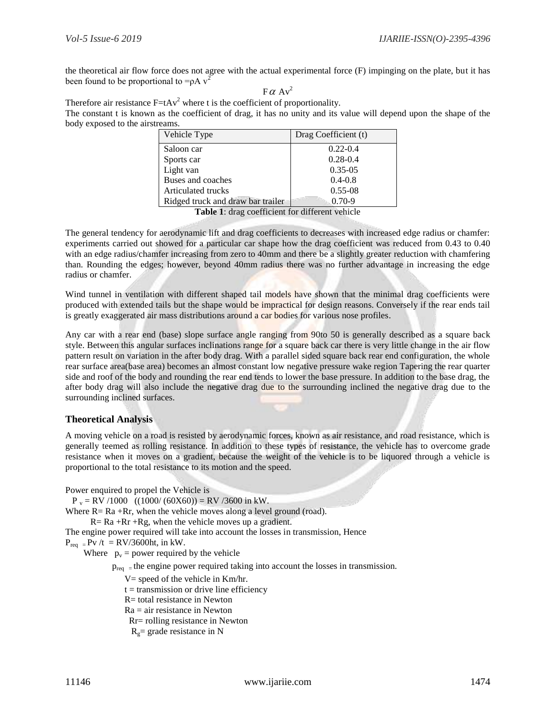the theoretical air flow force does not agree with the actual experimental force (F) impinging on the plate, but it has been found to be proportional to  $=\rho A v^2$ 

 $F \alpha Av^2$ 

Therefore air resistance  $F = tAv^2$  where t is the coefficient of proportionality. The constant t is known as the coefficient of drag, it has no unity and its value will depend upon the shape of the body exposed to the airstreams.

| Vehicle Type                      | Drag Coefficient (t) |
|-----------------------------------|----------------------|
| Saloon car                        | $0.22 - 0.4$         |
| Sports car                        | $0.28 - 0.4$         |
| Light van                         | $0.35 - 0.5$         |
| Buses and coaches                 | $0.4 - 0.8$          |
| Articulated trucks                | $0.55 - 08$          |
| Ridged truck and draw bar trailer | $0.70 - 9$           |

**Table 1**: drag coefficient for different vehicle

The general tendency for aerodynamic lift and drag coefficients to decreases with increased edge radius or chamfer: experiments carried out showed for a particular car shape how the drag coefficient was reduced from 0.43 to 0.40 with an edge radius/chamfer increasing from zero to 40mm and there be a slightly greater reduction with chamfering than. Rounding the edges; however, beyond 40mm radius there was no further advantage in increasing the edge radius or chamfer.

Wind tunnel in ventilation with different shaped tail models have shown that the minimal drag coefficients were produced with extended tails but the shape would be impractical for design reasons. Conversely if the rear ends tail is greatly exaggerated air mass distributions around a car bodies for various nose profiles.

Any car with a rear end (base) slope surface angle ranging from 90to 50 is generally described as a square back style. Between this angular surfaces inclinations range for a square back car there is very little change in the air flow pattern result on variation in the after body drag. With a parallel sided square back rear end configuration, the whole rear surface area(base area) becomes an almost constant low negative pressure wake region Tapering the rear quarter side and roof of the body and rounding the rear end tends to lower the base pressure. In addition to the base drag, the after body drag will also include the negative drag due to the surrounding inclined the negative drag due to the surrounding inclined surfaces.

# **Theoretical Analysis**

A moving vehicle on a road is resisted by aerodynamic forces, known as air resistance, and road resistance, which is generally teemed as rolling resistance. In addition to these types of resistance, the vehicle has to overcome grade resistance when it moves on a gradient, because the weight of the vehicle is to be liquored through a vehicle is proportional to the total resistance to its motion and the speed.

Power enquired to propel the Vehicle is

 $P_v = RV / 1000$  ((1000/ (60X60)) = RV /3600 in kW. Where  $R = Ra + Rr$ , when the vehicle moves along a level ground (road).  $R = Ra + Rr + Rg$ , when the vehicle moves up a gradient. The engine power required will take into account the losses in transmission, Hence  $P_{req}$  = Pv /t = RV/3600ht, in kW.

Where  $p_v =$  power required by the vehicle

 $p_{\text{req}}$  = the engine power required taking into account the losses in transmission.

V= speed of the vehicle in Km/hr.

 $t =$  transmission or drive line efficiency

R= total resistance in Newton

 $Ra = air resistance in Newton$ 

Rr= rolling resistance in Newton

 $R<sub>g</sub>=$  grade resistance in N